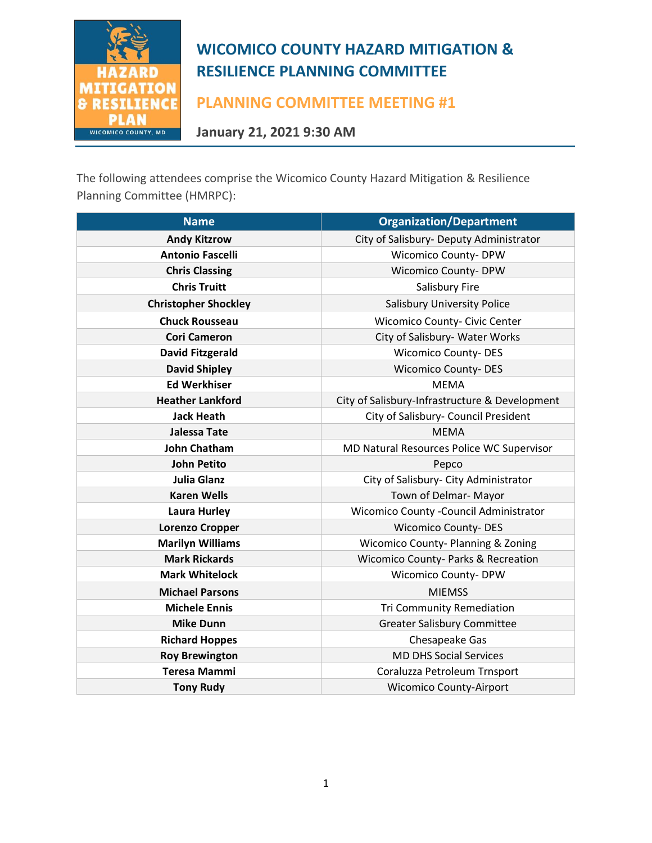

**PLANNING COMMITTEE MEETING #1**

**January 21, 2021 9:30 AM**

The following attendees comprise the Wicomico County Hazard Mitigation & Resilience Planning Committee (HMRPC):

| <b>Name</b>                 | <b>Organization/Department</b>                                             |  |  |  |  |  |  |
|-----------------------------|----------------------------------------------------------------------------|--|--|--|--|--|--|
| <b>Andy Kitzrow</b>         | City of Salisbury- Deputy Administrator                                    |  |  |  |  |  |  |
| <b>Antonio Fascelli</b>     | <b>Wicomico County-DPW</b>                                                 |  |  |  |  |  |  |
| <b>Chris Classing</b>       | <b>Wicomico County- DPW</b>                                                |  |  |  |  |  |  |
| <b>Chris Truitt</b>         | Salisbury Fire                                                             |  |  |  |  |  |  |
| <b>Christopher Shockley</b> | <b>Salisbury University Police</b><br><b>Wicomico County- Civic Center</b> |  |  |  |  |  |  |
| <b>Chuck Rousseau</b>       |                                                                            |  |  |  |  |  |  |
| <b>Cori Cameron</b>         | City of Salisbury- Water Works                                             |  |  |  |  |  |  |
| <b>David Fitzgerald</b>     | <b>Wicomico County-DES</b>                                                 |  |  |  |  |  |  |
| <b>David Shipley</b>        | <b>Wicomico County-DES</b>                                                 |  |  |  |  |  |  |
| <b>Ed Werkhiser</b>         | <b>MEMA</b>                                                                |  |  |  |  |  |  |
| <b>Heather Lankford</b>     | City of Salisbury-Infrastructure & Development                             |  |  |  |  |  |  |
| <b>Jack Heath</b>           | City of Salisbury- Council President                                       |  |  |  |  |  |  |
| <b>Jalessa Tate</b>         | <b>MEMA</b>                                                                |  |  |  |  |  |  |
| <b>John Chatham</b>         | MD Natural Resources Police WC Supervisor                                  |  |  |  |  |  |  |
| <b>John Petito</b>          | Pepco                                                                      |  |  |  |  |  |  |
| <b>Julia Glanz</b>          | City of Salisbury- City Administrator                                      |  |  |  |  |  |  |
| <b>Karen Wells</b>          | Town of Delmar- Mayor                                                      |  |  |  |  |  |  |
| <b>Laura Hurley</b>         | Wicomico County - Council Administrator                                    |  |  |  |  |  |  |
| <b>Lorenzo Cropper</b>      | <b>Wicomico County-DES</b>                                                 |  |  |  |  |  |  |
| <b>Marilyn Williams</b>     | <b>Wicomico County-Planning &amp; Zoning</b>                               |  |  |  |  |  |  |
| <b>Mark Rickards</b>        | <b>Wicomico County- Parks &amp; Recreation</b>                             |  |  |  |  |  |  |
| <b>Mark Whitelock</b>       | Wicomico County-DPW                                                        |  |  |  |  |  |  |
| <b>Michael Parsons</b>      | <b>MIEMSS</b>                                                              |  |  |  |  |  |  |
| <b>Michele Ennis</b>        | <b>Tri Community Remediation</b>                                           |  |  |  |  |  |  |
| <b>Mike Dunn</b>            | <b>Greater Salisbury Committee</b>                                         |  |  |  |  |  |  |
| <b>Richard Hoppes</b>       | Chesapeake Gas                                                             |  |  |  |  |  |  |
| <b>Roy Brewington</b>       | <b>MD DHS Social Services</b>                                              |  |  |  |  |  |  |
| <b>Teresa Mammi</b>         | Coraluzza Petroleum Trnsport                                               |  |  |  |  |  |  |
| <b>Tony Rudy</b>            | <b>Wicomico County-Airport</b>                                             |  |  |  |  |  |  |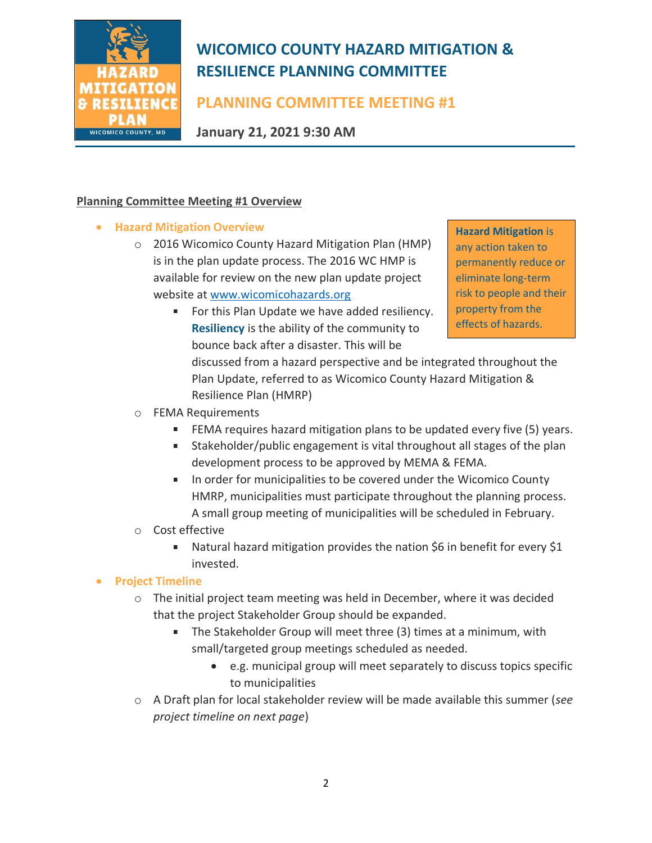

# **PLANNING COMMITTEE MEETING #1**

**January 21, 2021 9:30 AM**

## **Planning Committee Meeting #1 Overview**

- **Hazard Mitigation Overview**
	- o 2016 Wicomico County Hazard Mitigation Plan (HMP) is in the plan update process. The 2016 WC HMP is available for review on the new plan update project website at [www.wicomicohazards.org](http://www.wicomicohazards.org/)
		- For this Plan Update we have added resiliency.  $\blacksquare$ **Resiliency** is the ability of the community to bounce back after a disaster. This will be

**Hazard Mitigation** is any action taken to permanently reduce or eliminate long-term risk to people and their property from the effects of hazards.

discussed from a hazard perspective and be integrated throughout the Plan Update, referred to as Wicomico County Hazard Mitigation & Resilience Plan (HMRP)

- o FEMA Requirements
	- FEMA requires hazard mitigation plans to be updated every five (5) years.
	- Stakeholder/public engagement is vital throughout all stages of the plan  $\mathcal{L}_{\mathcal{A}}$ development process to be approved by MEMA & FEMA.
	- **IF** In order for municipalities to be covered under the Wicomico County HMRP, municipalities must participate throughout the planning process. A small group meeting of municipalities will be scheduled in February.

### o Cost effective

Natural hazard mitigation provides the nation \$6 in benefit for every \$1  $\mathbf{r}$ invested.

### • **Project Timeline**

- $\circ$  The initial project team meeting was held in December, where it was decided that the project Stakeholder Group should be expanded.
	- The Stakeholder Group will meet three (3) times at a minimum, with small/targeted group meetings scheduled as needed.
		- e.g. municipal group will meet separately to discuss topics specific to municipalities
- o A Draft plan for local stakeholder review will be made available this summer (*see project timeline on next page*)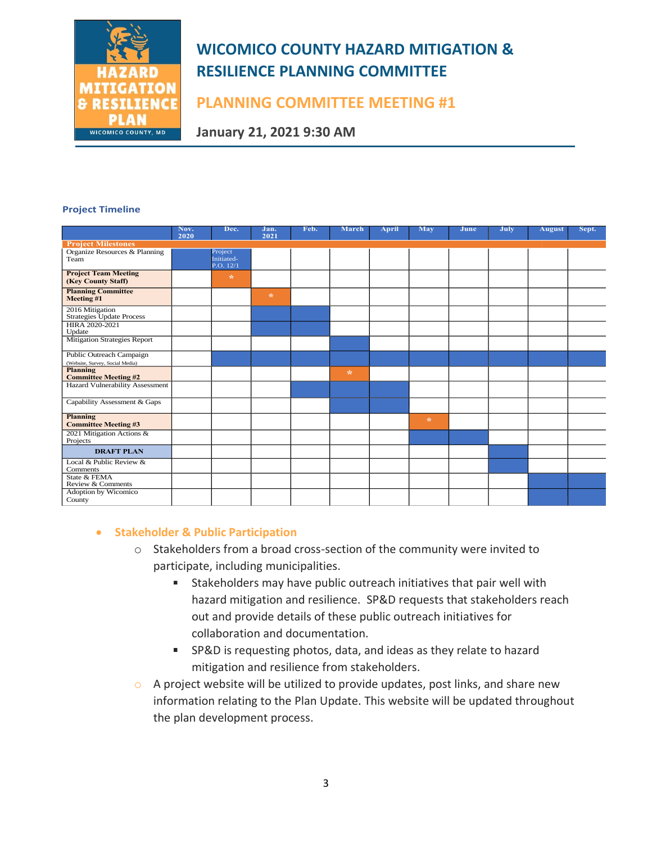

## **PLANNING COMMITTEE MEETING #1**

**January 21, 2021 9:30 AM**

#### **Project Timeline**

|                                                             | Nov.<br>2020 | Dec.                               | Jan.<br>2021 | Feb. | March         | April | May     | June | July | <b>August</b> | Sept. |
|-------------------------------------------------------------|--------------|------------------------------------|--------------|------|---------------|-------|---------|------|------|---------------|-------|
| <b>Project Milestones</b>                                   |              |                                    |              |      |               |       |         |      |      |               |       |
| Organize Resources & Planning<br>Team                       |              | Project<br>Initiated-<br>P.O. 12/1 |              |      |               |       |         |      |      |               |       |
| <b>Project Team Meeting</b><br>(Key County Staff)           |              | $\mathcal{R}$                      |              |      |               |       |         |      |      |               |       |
| <b>Planning Committee</b><br>Meeting #1                     |              |                                    | $\star$      |      |               |       |         |      |      |               |       |
| 2016 Mitigation<br>Strategies Update Process                |              |                                    |              |      |               |       |         |      |      |               |       |
| HIRA 2020-2021<br>Update                                    |              |                                    |              |      |               |       |         |      |      |               |       |
| Mitigation Strategies Report                                |              |                                    |              |      |               |       |         |      |      |               |       |
| Public Outreach Campaign<br>(Website, Survey, Social Media) |              |                                    |              |      |               |       |         |      |      |               |       |
| Planning<br><b>Committee Meeting #2</b>                     |              |                                    |              |      | $\mathcal{R}$ |       |         |      |      |               |       |
| Hazard Vulnerability Assessment                             |              |                                    |              |      |               |       |         |      |      |               |       |
| Capability Assessment & Gaps                                |              |                                    |              |      |               |       |         |      |      |               |       |
| Planning<br><b>Committee Meeting #3</b>                     |              |                                    |              |      |               |       | $\star$ |      |      |               |       |
| 2021 Mitigation Actions &<br>Projects                       |              |                                    |              |      |               |       |         |      |      |               |       |
| <b>DRAFT PLAN</b>                                           |              |                                    |              |      |               |       |         |      |      |               |       |
| Local & Public Review &<br>Comments                         |              |                                    |              |      |               |       |         |      |      |               |       |
| State & FEMA<br>Review & Comments                           |              |                                    |              |      |               |       |         |      |      |               |       |
| Adoption by Wicomico<br>County                              |              |                                    |              |      |               |       |         |      |      |               |       |

#### • **Stakeholder & Public Participation**

- o Stakeholders from a broad cross-section of the community were invited to participate, including municipalities.
	- Stakeholders may have public outreach initiatives that pair well with hazard mitigation and resilience. SP&D requests that stakeholders reach out and provide details of these public outreach initiatives for collaboration and documentation.
	- SP&D is requesting photos, data, and ideas as they relate to hazard mitigation and resilience from stakeholders.
- o A project website will be utilized to provide updates, post links, and share new information relating to the Plan Update. This website will be updated throughout the plan development process.